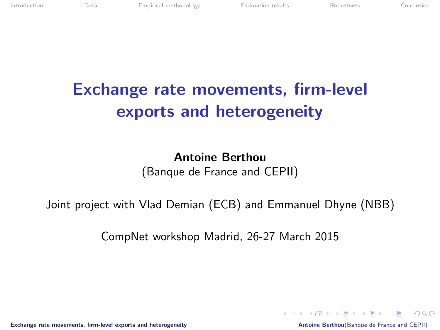# Exchange rate movements, firm-level exports and heterogeneity

Antoine Berthou (Banque de France and CEPII)

Joint project with Vlad Demian (ECB) and Emmanuel Dhyne (NBB)

CompNet workshop Madrid, 26-27 March 2015

[Exchange rate movements, firm-level exports and heterogeneity](#page-15-0) **Antoine Berthou**(Banque de France and CEPII)

<span id="page-0-0"></span>KED KARD KED KED E VOQO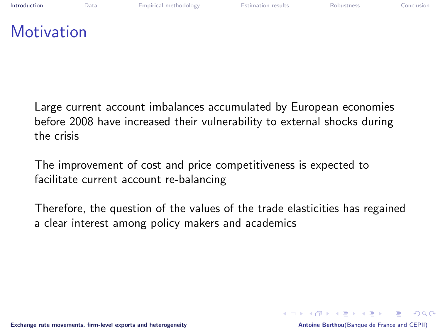| Introduction |
|--------------|
|              |

### **Motivation**

Large current account imbalances accumulated by European economies before 2008 have increased their vulnerability to external shocks during the crisis

The improvement of cost and price competitiveness is expected to facilitate current account re-balancing

Therefore, the question of the values of the trade elasticities has regained a clear interest among policy makers and academics

后

<span id="page-1-0"></span> $\Omega$ 

イロト イ押 トイヨ トイヨ トー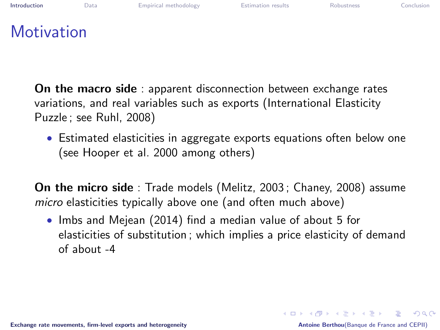| Introduction      | Data | Empirical methodology | <b>Estimation results</b> | Robustness | Conclusion |
|-------------------|------|-----------------------|---------------------------|------------|------------|
| <b>Motivation</b> |      |                       |                           |            |            |

On the macro side : apparent disconnection between exchange rates variations, and real variables such as exports (International Elasticity Puzzle ; see Ruhl, 2008)

• Estimated elasticities in aggregate exports equations often below one (see Hooper et al. 2000 among others)

On the micro side : Trade models (Melitz, 2003 ; Chaney, 2008) assume micro elasticities typically above one (and often much above)

• Imbs and Mejean (2014) find a median value of about 5 for elasticities of substitution ; which implies a price elasticity of demand  $of$  about  $-4$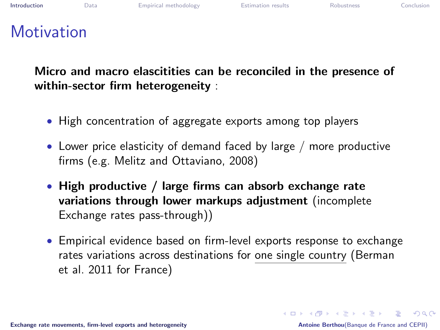### **Motivation**

Micro and macro elascitities can be reconciled in the presence of within-sector firm heterogeneity :

- High concentration of aggregate exports among top players
- Lower price elasticity of demand faced by large / more productive firms (e.g. Melitz and Ottaviano, 2008)
- High productive / large firms can absorb exchange rate variations through lower markups adjustment (incomplete Exchange rates pass-through))
- Empirical evidence based on firm-level exports response to exchange rates variations across destinations for one single country (Berman et al. 2011 for France)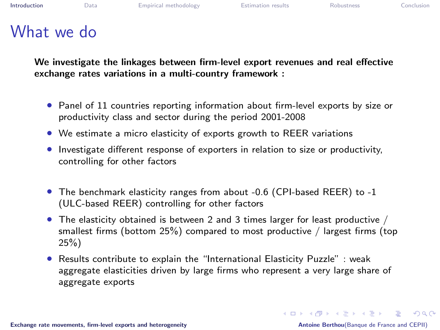#### What we do

We investigate the linkages between firm-level export revenues and real effective exchange rates variations in a multi-country framework :

- Panel of 11 countries reporting information about firm-level exports by size or productivity class and sector during the period 2001-2008
- We estimate a micro elasticity of exports growth to REER variations
- Investigate different response of exporters in relation to size or productivity, controlling for other factors
- The benchmark elasticity ranges from about -0.6 (CPI-based REER) to -1 (ULC-based REER) controlling for other factors
- The elasticity obtained is between 2 and 3 times larger for least productive / smallest firms (bottom 25%) compared to most productive / largest firms (top 25%)
- Results contribute to explain the "International Elasticity Puzzle" : weak aggregate elasticities driven by large firms who represent a very large share of aggregate exports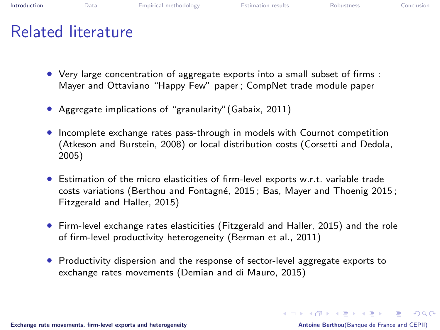## Related literature

- Very large concentration of aggregate exports into a small subset of firms : Mayer and Ottaviano "Happy Few" paper ; CompNet trade module paper
- Aggregate implications of "granularity"(Gabaix, 2011)
- Incomplete exchange rates pass-through in models with Cournot competition (Atkeson and Burstein, 2008) or local distribution costs (Corsetti and Dedola, 2005)
- Estimation of the micro elasticities of firm-level exports w.r.t. variable trade costs variations (Berthou and Fontagné, 2015; Bas, Mayer and Thoenig 2015; Fitzgerald and Haller, 2015)
- Firm-level exchange rates elasticities (Fitzgerald and Haller, 2015) and the role of firm-level productivity heterogeneity (Berman et al., 2011)
- Productivity dispersion and the response of sector-level aggregate exports to exchange rates movements (Demian and di Mauro, 2015)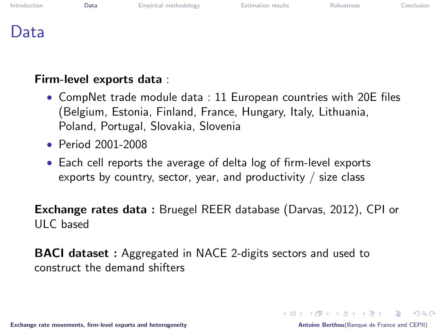| Introduction |  |
|--------------|--|
|              |  |

**[Data](#page-6-0)** [Empirical methodology](#page-8-0) **[Estimation results](#page-9-0)** [Robustness](#page-14-0) [Conclusion](#page-15-0)

<span id="page-6-0"></span>

### Data

#### Firm-level exports data :

- CompNet trade module data : 11 European countries with 20E files (Belgium, Estonia, Finland, France, Hungary, Italy, Lithuania, Poland, Portugal, Slovakia, Slovenia
- Period 2001-2008
- Each cell reports the average of delta log of firm-level exports exports by country, sector, year, and productivity  $\ell$  size class

Exchange rates data : Bruegel REER database (Darvas, 2012), CPI or ULC based

BACI dataset : Aggregated in NACE 2-digits sectors and used to construct the demand shifters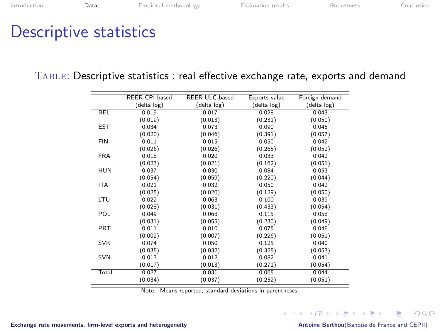### Descriptive statistics

|  | TABLE: Descriptive statistics : real effective exchange rate, exports and demand |  |
|--|----------------------------------------------------------------------------------|--|
|--|----------------------------------------------------------------------------------|--|

|            | <b>REER CPI-based</b> | <b>REER ULC-based</b> | Exports value | Foreign demand |
|------------|-----------------------|-----------------------|---------------|----------------|
|            | (delta log)           | (delta log)           | (delta log)   | (delta log)    |
| <b>BEL</b> | 0.019                 | 0.017                 | 0.028         | 0.043          |
|            | (0.019)               | (0.013)               | (0.231)       | (0.050)        |
| <b>EST</b> | 0.034                 | 0.073                 | 0.090         | 0.045          |
|            | (0.020)               | (0.046)               | (0.391)       | (0.057)        |
| <b>FIN</b> | 0.011                 | 0.015                 | 0.050         | 0.042          |
|            | (0.026)               | (0.026)               | (0.265)       | (0.052)        |
| <b>FRA</b> | 0.018                 | 0.020                 | 0.033         | 0.042          |
|            | (0.023)               | (0.021)               | (0.162)       | (0.051)        |
| <b>HUN</b> | 0.037                 | 0.030                 | 0.084         | 0.053          |
|            | (0.054)               | (0.059)               | (0.220)       | (0.044)        |
| <b>ITA</b> | 0.021                 | 0.032                 | 0.050         | 0.042          |
|            | (0.025)               | (0.020)               | (0.129)       | (0.050)        |
| LTU        | 0.022                 | 0.063                 | 0.100         | 0.039          |
|            | (0.028)               | (0.031)               | (0.433)       | (0.054)        |
| POL        | 0.049                 | 0.068                 | 0.115         | 0.058          |
|            | (0.031)               | (0.055)               | (0.230)       | (0.049)        |
| <b>PRT</b> | 0.011                 | 0.010                 | 0.075         | 0.048          |
|            | (0.002)               | (0.007)               | (0.226)       | (0.051)        |
| <b>SVK</b> | 0.074                 | 0.050                 | 0.125         | 0.040          |
|            | (0.035)               | (0.032)               | (0.325)       | (0.053)        |
| <b>SVN</b> | 0.013                 | 0.012                 | 0.082         | 0.041          |
|            | (0.017)               | (0.013)               | (0.271)       | (0.054)        |
| Total      | 0.027                 | 0.031                 | 0.065         | 0.044          |
|            | (0.034)               | (0.037)               | (0.252)       | (0.051)        |

Note : Means reported, standard deviations in parentheses.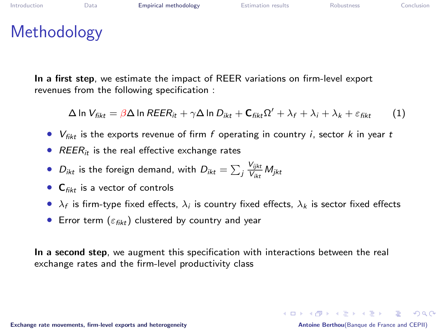### Methodology

In a first step, we estimate the impact of REER variations on firm-level export revenues from the following specification :

$$
\Delta \ln V_{fikt} = \beta \Delta \ln REER_{it} + \gamma \Delta \ln D_{ikt} + \mathbf{C}_{fikt} \Omega' + \lambda_f + \lambda_i + \lambda_k + \varepsilon_{fikt}
$$
 (1)

- $V_{fikt}$  is the exports revenue of firm f operating in country *i*, sector *k* in year *t*
- $REER_{it}$  is the real effective exchange rates
- $\bullet$   $D_{ikt}$  is the foreign demand, with  $D_{ikt} = \sum_j \frac{V_{ijkt}}{V_{ikt}}$  $\frac{V_{ijkt}}{V_{ikt}}$  M<sub>jkt</sub>
- $C_{fikt}$  is a vector of controls
- $\lambda_f$  is firm-type fixed effects,  $\lambda_i$  is country fixed effects,  $\lambda_k$  is sector fixed effects
- <span id="page-8-0"></span>• Error term  $(\varepsilon_{\text{fikt}})$  clustered by country and year

In a second step, we augment this specification with interactions between the real exchange rates and the firm-level productivity class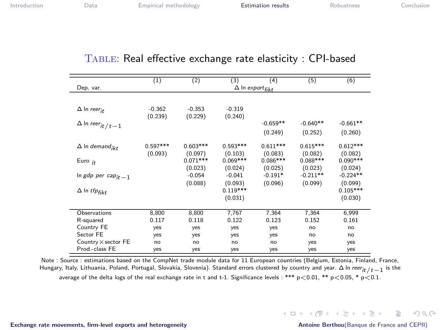#### TABLE: Real effective exchange rate elasticity : CPI-based

|                                                   | (1)                   | (2)                   | (3)                              | (4)                                | (5)                   | (6)                              |
|---------------------------------------------------|-----------------------|-----------------------|----------------------------------|------------------------------------|-----------------------|----------------------------------|
| Dep. var.                                         |                       |                       |                                  | $\Delta$ In export <sub>fikt</sub> |                       |                                  |
|                                                   |                       |                       |                                  |                                    |                       |                                  |
| $\Delta$ In reer <sub>it</sub>                    | $-0.362$<br>(0.239)   | $-0.353$<br>(0.229)   | $-0.319$<br>(0.240)              |                                    |                       |                                  |
| $\Delta$ In $\textit{reer}_{\textit{it}}$ / $t-1$ |                       |                       |                                  | $-0.659**$                         | $-0.640**$            | $-0.661**$                       |
|                                                   |                       |                       |                                  | (0.249)                            | (0.252)               | (0.260)                          |
| $\Delta$ In demand <sub>ikt</sub>                 | $0.597***$<br>(0.093) | $0.603***$<br>(0.097) | $0.593***$<br>(0.103)            | $0.611***$<br>(0.083)              | $0.615***$<br>(0.082) | $0.612***$<br>(0.082)            |
| Euro $_{it}$                                      |                       | $0.071***$<br>(0.023) | $0.069***$<br>(0.024)            | $0.086***$<br>(0.025)              | $0.088***$<br>(0.023) | $0.090***$<br>(0.024)            |
| In gdp per cap <sub>it -1</sub>                   |                       | $-0.054$              | $-0.041$                         | $-0.191*$                          | $-0.211**$            | $-0.224**$                       |
| $\Delta$ In tfpfikt                               |                       | (0.088)               | (0.093)<br>$0.119***$<br>(0.031) | (0.096)                            | (0.099)               | (0.099)<br>$0.105***$<br>(0.030) |
| Observations                                      | 8,800                 | 8,800                 | 7,767                            | 7,364                              | 7,364                 | 6,999                            |
| R-squared                                         | 0.117                 | 0.118                 | 0.122                            | 0.123                              | 0.152                 | 0.161                            |
| Country FE                                        | yes                   | yes                   | yes                              | yes                                | no                    | no                               |
| Sector FE                                         | yes                   | yes                   | yes                              | yes                                | no                    | no                               |
| Country $\times$ sector FE                        | no                    | no                    | no                               | no                                 | yes                   | yes                              |
| Prod.-class FE                                    | yes                   | yes                   | yes                              | yes                                | yes                   | yes                              |

<span id="page-9-0"></span>Note : Source : estimations based on the CompNet trade module data for 11 European countries (Belgium, Estonia, Finland, France, Hungary, Italy, Lithuania, Poland, Portugal, Slovakia, Slovenia). Standard errors clustered by country and year.  $\Delta$  In reer<sub>it /t-1</sub> is the average of the delta logs of the real exchange rate in t and t-1. Significance levels: \*\*\*  $p < 0.01$ , \*\*  $p < 0.05$ , \*  $p < 0.1$ .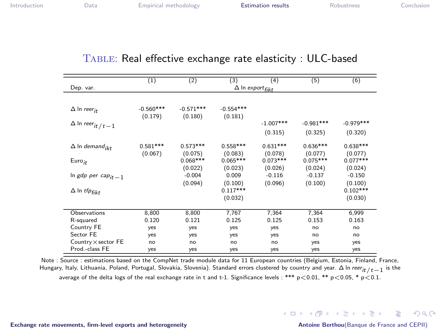#### TABLE: Real effective exchange rate elasticity : ULC-based

|                                                | (1)         | (2)                                | (3)         | (4)         | (5)         | (6)         |  |  |
|------------------------------------------------|-------------|------------------------------------|-------------|-------------|-------------|-------------|--|--|
| Dep. var.                                      |             | $\Delta$ In export <sub>fikt</sub> |             |             |             |             |  |  |
|                                                |             |                                    |             |             |             |             |  |  |
| $\Delta$ In reer <sub>it</sub>                 | $-0.560***$ | $-0.571***$                        | $-0.554***$ |             |             |             |  |  |
|                                                | (0.179)     | (0.180)                            | (0.181)     |             |             |             |  |  |
| $\Delta$ In $\operatorname{\it recr}_{it/t-1}$ |             |                                    |             | $-1.007***$ | $-0.981***$ | $-0.979***$ |  |  |
|                                                |             |                                    |             | (0.315)     | (0.325)     | (0.320)     |  |  |
| $\Delta$ In demand <sub>ikt</sub>              | $0.581***$  | $0.573***$                         | $0.558***$  | $0.631***$  | $0.636***$  | $0.638***$  |  |  |
|                                                | (0.067)     | (0.075)                            | (0.083)     | (0.078)     | (0.077)     | (0.077)     |  |  |
| $Euro_{it}$                                    |             | $0.068***$                         | $0.065***$  | $0.073***$  | $0.075***$  | $0.077***$  |  |  |
|                                                |             | (0.022)                            | (0.023)     | (0.026)     | (0.024)     | (0.024)     |  |  |
| In gdp per cap <sub>it -1</sub>                |             | $-0.004$                           | 0.009       | $-0.116$    | $-0.137$    | $-0.150$    |  |  |
|                                                |             | (0.094)                            | (0.100)     | (0.096)     | (0.100)     | (0.100)     |  |  |
| $\Delta$ In tfpfikt                            |             |                                    | $0.117***$  |             |             | $0.102***$  |  |  |
|                                                |             |                                    | (0.032)     |             |             | (0.030)     |  |  |
| Observations                                   | 8,800       | 8,800                              | 7,767       | 7,364       | 7,364       | 6,999       |  |  |
| R-squared                                      | 0.120       | 0.121                              | 0.125       | 0.125       | 0.153       | 0.163       |  |  |
| Country FE                                     | yes         | yes                                | yes         | yes         | no          | no          |  |  |
| Sector FE                                      | yes         | yes                                | yes         | yes         | no          | no          |  |  |
| Country $\times$ sector FE                     | no          | no                                 | no          | no          | yes         | yes         |  |  |
| Prod.-class FE                                 | yes         | yes                                | yes         | yes         | yes         | yes         |  |  |

Note : Source : estimations based on the CompNet trade module data for 11 European countries (Belgium, Estonia, Finland, France, Hungary, Italy, Lithuania, Poland, Portugal, Slovakia, Slovenia). Standard errors clustered by country and year.  $\Delta$  In reer<sub>it /t-1</sub> is the average of the delta logs of the real exchange rate in t and t-1. Significance levels: \*\*\*  $p < 0.01$ , \*\*  $p < 0.05$ , \*  $p < 0.1$ .

 $\Omega$ 

K ロ X K @ X K 할 X K 할 X ( 할 X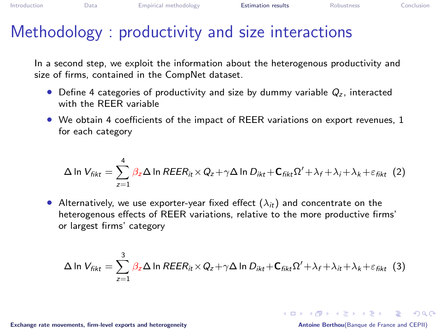### Methodology : productivity and size interactions

In a second step, we exploit the information about the heterogenous productivity and size of firms, contained in the CompNet dataset.

- Define 4 categories of productivity and size by dummy variable  $Q<sub>z</sub>$ , interacted with the REER variable
- We obtain 4 coefficients of the impact of REER variations on export revenues, 1 for each category

$$
\Delta \ln V_{fikt} = \sum_{z=1}^{4} \beta_z \Delta \ln REER_{it} \times Q_z + \gamma \Delta \ln D_{ikt} + C_{fikt} \Omega' + \lambda_f + \lambda_i + \lambda_k + \varepsilon_{fikt} (2)
$$

• Alternatively, we use exporter-year fixed effect  $(\lambda_{it})$  and concentrate on the heterogenous effects of REER variations, relative to the more productive firms' or largest firms' category

$$
\Delta \ln V_{\text{fikt}} = \sum_{z=1}^{3} \beta_z \Delta \ln REER_{it} \times Q_z + \gamma \Delta \ln D_{ikt} + \mathbf{C}_{\text{fikt}} \Omega' + \lambda_f + \lambda_{it} + \lambda_k + \varepsilon_{\text{fikt}} \tag{3}
$$

[Exchange rate movements, firm-level exports and heterogeneity](#page-0-0) Antoine Berthou(Banque de France and CEPII)

**KON KAN KEN KEN EL VOOR**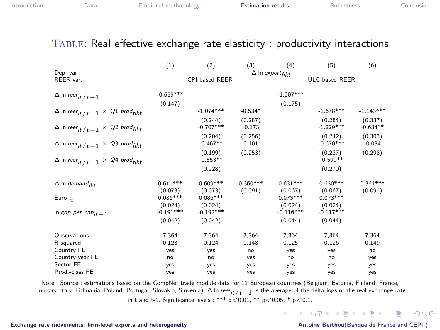|                                                                                       | (1)                   | (2)                    | (3)                   | (4)                          | (5)                    | (6)                   |
|---------------------------------------------------------------------------------------|-----------------------|------------------------|-----------------------|------------------------------|------------------------|-----------------------|
| Dep. var.                                                                             |                       |                        |                       | $\Delta$ In export $_{fikt}$ |                        |                       |
| REER var.                                                                             |                       | CPI-based REER         |                       |                              | <b>ULC-based REER</b>  |                       |
|                                                                                       | $-0.659***$           |                        |                       | $-1.007***$                  |                        |                       |
| $\Delta$ In reer <sub>it /t-1</sub>                                                   |                       |                        |                       |                              |                        |                       |
| $\Delta$ In reer <sub>it /t-1</sub> $\times$ Q1 prod <sub>fikt</sub>                  | (0.147)               | $-1.074***$            | $-0.534*$             | (0.175)                      | $-1.678***$            | $-1.143***$           |
| $\Delta$ In reer <sub>it /t</sub> $_{1}$ $\times$ Q <sub>2</sub> prod <sub>fikt</sub> |                       | (0.244)<br>$-0.707***$ | (0.287)<br>$-0.173$   |                              | (0.284)<br>$-1.229***$ | (0.337)<br>$-0.634**$ |
| $\Delta$ In reer <sub>it /t</sub> $-1 \times Q_3$ prod <sub>fikt</sub>                |                       | (0.204)<br>$-0.467**$  | (0.256)<br>0.101      |                              | (0.242)<br>$-0.670***$ | (0.303)<br>$-0.034$   |
| $\Delta$ In reer <sub>it /t</sub> $-1 \times Q$ 4 prod <sub>fikt</sub>                |                       | (0.199)<br>$-0.553**$  | (0.253)               |                              | (0.237)<br>$-0.599**$  | (0.298)               |
|                                                                                       |                       | (0.228)                |                       |                              | (0.270)                |                       |
| $\Delta$ In demand <sub>ikt</sub>                                                     | $0.611***$<br>(0.073) | $0.609***$<br>(0.073)  | $0.360***$<br>(0.091) | $0.631***$<br>(0.067)        | $0.630***$<br>(0.067)  | $0.361***$<br>(0.091) |
| Euro $_{it}$                                                                          | $0.086***$<br>(0.024) | $0.086***$<br>(0.024)  |                       | $0.073***$<br>(0.024)        | $0.073***$<br>(0.024)  |                       |
| In gdp per cap <sub>it -1</sub>                                                       | $-0.191***$           | $-0.192***$            |                       | $-0.116***$                  | $-0.117***$            |                       |
|                                                                                       | (0.042)               | (0.042)                |                       | (0.044)                      | (0.044)                |                       |
| Observations                                                                          | 7.364                 | 7.364                  | 7.364                 | 7.364                        | 7.364                  | 7,364                 |
| R-squared                                                                             | 0.123                 | 0.124                  | 0.148                 | 0.125                        | 0.126                  | 0.149                 |
| Country FE                                                                            | yes                   | yes                    | no                    | yes                          | yes                    | no                    |
| Country-year FE                                                                       | no                    | no                     | yes                   | no                           | no                     | yes                   |
| Sector FE                                                                             | yes                   | yes                    | yes                   | yes                          | yes                    | yes                   |
| Prod.-class FE                                                                        | yes                   | yes                    | yes                   | yes                          | yes                    | yes                   |

#### TABLE: Real effective exchange rate elasticity: productivity interactions

Note : Source : estimations based on the CompNet trade module data for 11 European countries (Belgium, Estonia, Finland, France, Hungary, Italy, Lithuania, Poland, Portugal, Slovakia, Slovenia).  $\Delta$  In reer<sub>it /t</sub> 1 is the average of the delta logs of the real exchange rate in t and t-1. Significance levels : \*\*\*  $p < 0.01$ , \*\*  $p < 0.05$ , \*  $p < 0.1$ .

 $2990$ 

后

イロト イ押 トイヨ トイヨ トー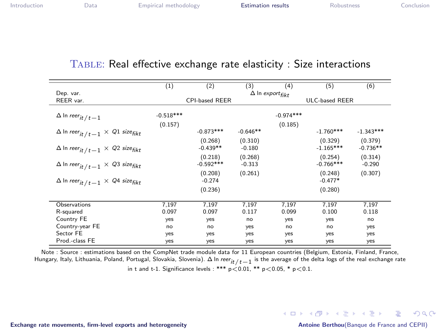#### Table: Real effective exchange rate elasticity : Size interactions

|                                                                      | (1)         | (2)                   | (3)        | (4)                                | (5)            | (6)         |
|----------------------------------------------------------------------|-------------|-----------------------|------------|------------------------------------|----------------|-------------|
| Dep. var.                                                            |             |                       |            | $\Delta$ In export <sub>fikt</sub> |                |             |
| REER var.                                                            |             | <b>CPI-based REER</b> |            |                                    | ULC-based REER |             |
|                                                                      |             |                       |            |                                    |                |             |
| $\Delta$ In reer it / t $-1$                                         | $-0.518***$ |                       |            | $-0.974***$                        |                |             |
|                                                                      | (0.157)     |                       |            | (0.185)                            |                |             |
| $\Delta$ In reer <sub>it /t-1</sub> $\times$ Q1 size <sub>fikt</sub> |             | $-0.873***$           | $-0.646**$ |                                    | $-1.760***$    | $-1.343***$ |
|                                                                      |             | (0.268)               | (0.310)    |                                    | (0.329)        | (0.379)     |
| $\Delta$ In reer <sub>it /t-1</sub> $\times$ Q2 size <sub>fikt</sub> |             | $-0.439**$            | $-0.180$   |                                    | $-1.165***$    | $-0.736**$  |
|                                                                      |             | (0.218)               | (0.268)    |                                    | (0.254)        | (0.314)     |
| $\Delta$ In reer <sub>it /t-1</sub> $\times$ Q3 size <sub>fikt</sub> |             | $-0.592***$           | $-0.313$   |                                    | $-0.766***$    | $-0.290$    |
|                                                                      |             | (0.208)               | (0.261)    |                                    | (0.248)        | (0.307)     |
| $\Delta$ In reer <sub>it /t-1</sub> $\times$ Q4 size <sub>fikt</sub> |             | $-0.274$              |            |                                    | $-0.477*$      |             |
|                                                                      |             | (0.236)               |            |                                    | (0.280)        |             |
|                                                                      |             |                       |            |                                    |                |             |
| Observations                                                         | 7.197       | 7.197                 | 7.197      | 7.197                              | 7.197          | 7.197       |
| R-squared                                                            | 0.097       | 0.097                 | 0.117      | 0.099                              | 0.100          | 0.118       |
| Country FE                                                           | yes         | yes                   | no         | yes                                | yes            | no          |
| Country-year FE                                                      | nQ          | nQ                    | yes        | no                                 | no             | yes         |
| Sector FE                                                            | yes         | yes                   | yes        | yes                                | yes            | yes         |
| Prod.-class FE                                                       | yes         | ves                   | yes        | yes                                | yes            | yes         |

Note : Source : estimations based on the CompNet trade module data for 11 European countries (Belgium, Estonia, Finland, France, Hungary, Italy, Lithuania, Poland, Portugal, Slovakia, Slovenia). ∆ In *reer<sub>it /t−*1 is the average of the delta logs of the real exchange rate</sub> in t and t-1. Significance levels : \*\*\*  $p < 0.01$ , \*\*  $p < 0.05$ , \*  $p < 0.1$ .

[Exchange rate movements, firm-level exports and heterogeneity](#page-0-0) Antoine Berthou(Banque de France and CEPII)

KO KARA KE KAEK LE YO GO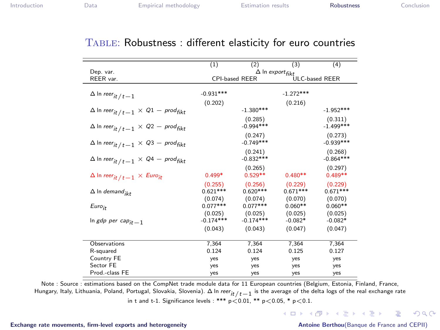#### TABLE: Robustness : different elasticity for euro countries

|                                                                             | (1)                          | (2)                   | (3)         | (4)            |
|-----------------------------------------------------------------------------|------------------------------|-----------------------|-------------|----------------|
| Dep. var.                                                                   | $\Delta$ In export $f_{ikt}$ |                       |             |                |
| REER var.                                                                   |                              | <b>CPI-based REER</b> |             | ULC-based REER |
|                                                                             |                              |                       |             |                |
| $\Delta$ In reer <sub>it /t-1</sub>                                         | $-0.931***$                  |                       | $-1.272***$ |                |
|                                                                             | (0.202)                      |                       | (0.216)     |                |
| $\Delta$ In reer <sub>it / t</sub> $-1 \times Q1 - \text{prod}_{fikt}$      |                              | $-1.380***$           |             | $-1.952***$    |
|                                                                             |                              | (0.285)               |             | (0.311)        |
| $\Delta$ In reer $_{it$ / $_{t-1}$ $\times$ Q2 $-$ prod $_{fikt}$           |                              | $-0.994***$           |             | $-1.499***$    |
|                                                                             |                              | (0.247)               |             | (0.273)        |
| $\Delta$ In reer $_{it$ / $_{t-1}$ $\times$ Q3 $-$ prod $_{fikt}$           |                              | $-0.749***$           |             | $-0.939***$    |
|                                                                             |                              | (0.241)               |             | (0.268)        |
| $\Delta$ In reer $_{it$ / $_{t-1}$ $\times$ Q4 $-$ prod $_{fikt}$           |                              | $-0.832***$           |             | $-0.864***$    |
|                                                                             |                              | (0.265)               |             | (0.297)        |
| $\Delta$ In reer <sub>it / t <math>-1 \times</math> Euro<sub>it</sub></sub> | $0.499*$                     | $0.529**$             | $0.480**$   | $0.489**$      |
|                                                                             | (0.255)                      | (0.256)               | (0.229)     | (0.229)        |
| $\Delta$ In demand <sub>ikt</sub>                                           | $0.621***$                   | $0.620***$            | $0.671***$  | $0.671***$     |
|                                                                             | (0.074)                      | (0.074)               | (0.070)     | (0.070)        |
| Euro <sub>it</sub>                                                          | $0.077***$                   | $0.077***$            | $0.060**$   | $0.060**$      |
|                                                                             | (0.025)                      | (0.025)               | (0.025)     | (0.025)        |
| In gdp per cap <sub>it -1</sub>                                             | $-0.174***$                  | $-0.174***$           | $-0.082*$   | $-0.082*$      |
|                                                                             | (0.043)                      | (0.043)               | (0.047)     | (0.047)        |
|                                                                             |                              |                       |             |                |
| Observations                                                                | 7.364                        | 7.364                 | 7.364       | 7.364          |
| R-squared                                                                   | 0.124                        | 0.124                 | 0.125       | 0.127          |
| Country FE                                                                  | yes                          | yes                   | yes         | yes            |
| Sector FE                                                                   | yes                          | yes                   | yes         | yes            |
| Prod - class FF                                                             | yes                          | yes                   | yes         | yes            |

Note : Source : estimations based on the CompNet trade module data for 11 European countries (Belgium, Estonia, Finland, France, Hungary, Italy, Lithuania, Poland, Portugal, Slovakia, Slovenia).  $\Delta$  In reer<sub>it /t-1</sub> is the average of the delta logs of the real exchange rate in t and t-1. Significance levels : \*\*\*  $p < 0.01$ , \*\*  $p < 0.05$ , \*  $p < 0.1$ .

Exchange rate movements, firm-level exports and heterogeneity

Antoine Berthou (Banque de France and CEPII)

<span id="page-14-0"></span> $2990$ 

K ロ ▶ K @ ▶ K 경 ▶ K 경 ▶ │ 경